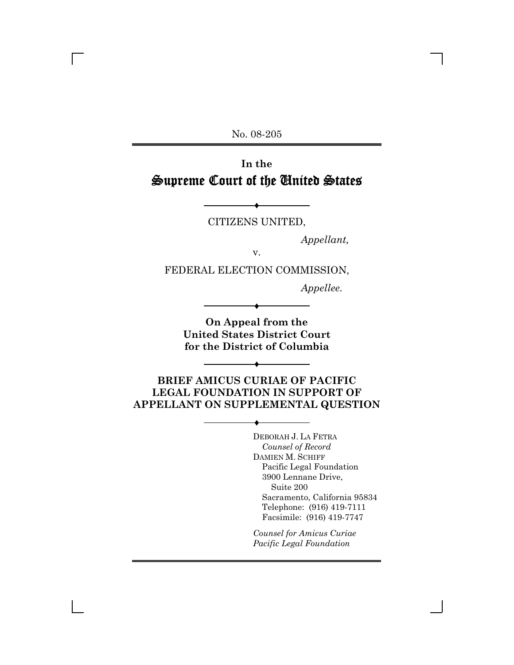No. 08-205

# **In the** Supreme Court of the United States

Ë CITIZENS UNITED,

*Appellant,*

v.

FEDERAL ELECTION COMMISSION,

*Appellee.*

**On Appeal from the United States District Court for the District of Columbia**

Ë

**BRIEF AMICUS CURIAE OF PACIFIC LEGAL FOUNDATION IN SUPPORT OF APPELLANT ON SUPPLEMENTAL QUESTION**

 $\blacklozenge$ 

 $\blacklozenge$ 

DEBORAH J. LA FETRA *Counsel of Record* DAMIEN M. SCHIFF Pacific Legal Foundation 3900 Lennane Drive, Suite 200 Sacramento, California 95834 Telephone: (916) 419-7111 Facsimile: (916) 419-7747

*Counsel for Amicus Curiae Pacific Legal Foundation*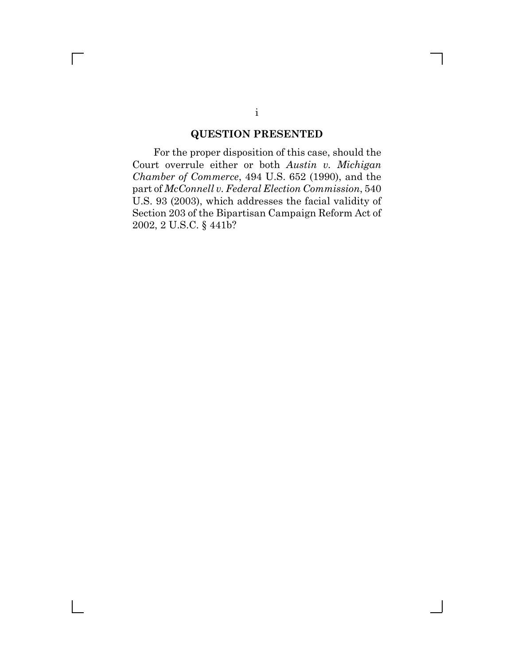### **QUESTION PRESENTED**

For the proper disposition of this case, should the Court overrule either or both *Austin v. Michigan Chamber of Commerce*, 494 U.S. 652 (1990), and the part of *McConnell v. Federal Election Commission*, 540 U.S. 93 (2003), which addresses the facial validity of Section 203 of the Bipartisan Campaign Reform Act of 2002, 2 U.S.C. § 441b?

 $\Box$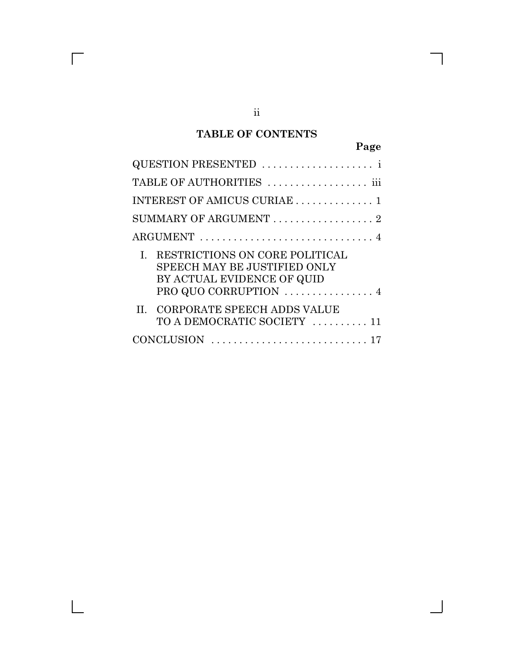### **TABLE OF CONTENTS**

|--|

| QUESTION PRESENTED                                                                                                    |
|-----------------------------------------------------------------------------------------------------------------------|
| TABLE OF AUTHORITIES  iii                                                                                             |
| INTEREST OF AMICUS CURIAE  1                                                                                          |
| SUMMARY OF ARGUMENT 2                                                                                                 |
|                                                                                                                       |
| RESTRICTIONS ON CORE POLITICAL<br>SPEECH MAY BE JUSTIFIED ONLY<br>BY ACTUAL EVIDENCE OF QUID<br>PRO QUO CORRUPTION  4 |
| <b>CORPORATE SPEECH ADDS VALUE</b><br>TO A DEMOCRATIC SOCIETY  11                                                     |
|                                                                                                                       |

 $\overline{\Gamma}$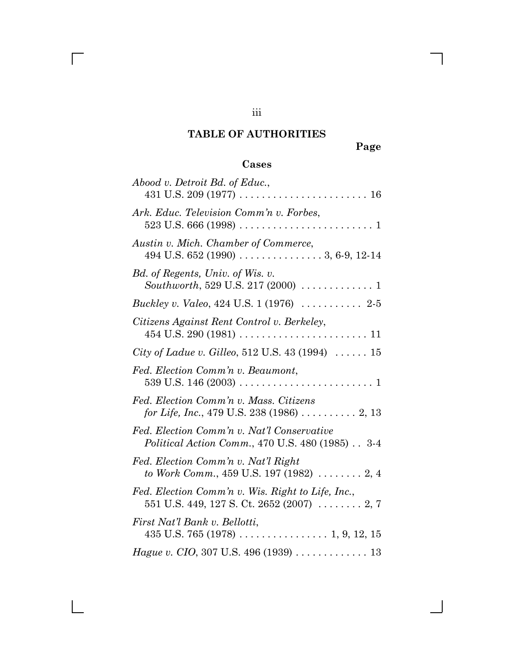# **TABLE OF AUTHORITIES**

**Page**

# **Cases**

| Abood v. Detroit Bd. of Educ.,                                                                                 |
|----------------------------------------------------------------------------------------------------------------|
|                                                                                                                |
| Ark. Educ. Television Comm'n v. Forbes,                                                                        |
| Austin v. Mich. Chamber of Commerce,<br>494 U.S. 652 (1990) $\ldots \ldots \ldots \ldots \ldots 3, 6-9, 12-14$ |
| Bd. of Regents, Univ. of Wis. v.<br>Southworth, 529 U.S. 217 (2000) $\ldots \ldots \ldots 1$                   |
| Buckley v. Valeo, 424 U.S. 1 (1976)  2-5                                                                       |
| Citizens Against Rent Control v. Berkeley,                                                                     |
| <i>City of Ladue v. Gilleo,</i> 512 U.S. 43 (1994) $\ldots \ldots 15$                                          |
| Fed. Election Comm'n v. Beaumont,                                                                              |
| Fed. Election Comm'n v. Mass. Citizens<br>for Life, Inc., 479 U.S. 238 (1986)  2, 13                           |
| Fed. Election Comm'n v. Nat'l Conservative<br><i>Political Action Comm.</i> , 470 U.S. 480 (1985) 3-4          |
| Fed. Election Comm'n v. Nat'l Right<br>to Work Comm., 459 U.S. 197 (1982) $\ldots \ldots \ldots 2, 4$          |
| Fed. Election Comm'n v. Wis. Right to Life, Inc.,<br>551 U.S. 449, 127 S. Ct. 2652 (2007) $\ldots$ 2, 7        |
| First Nat'l Bank v. Bellotti,                                                                                  |
| Hague v. CIO, 307 U.S. 496 (1939) 13                                                                           |

iii

 $\overline{\Gamma}$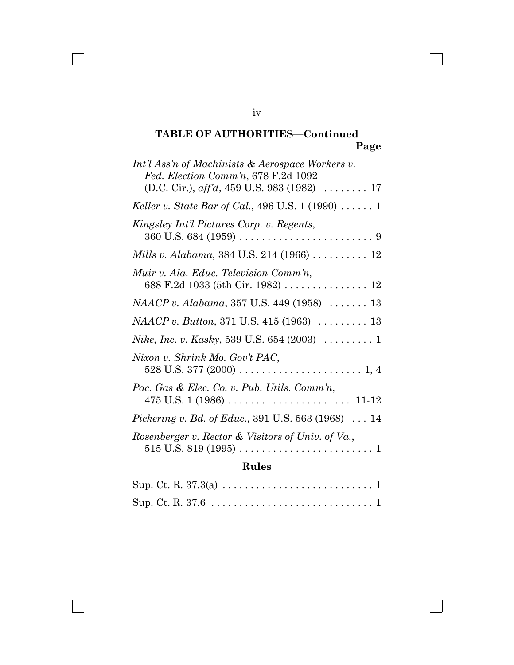# Sup. Ct. R. 37.3(a) . . . . . . . . . . . . . . . . . . . . . . . . . . . 1 Sup. Ct. R. 37.6 . . . . . . . . . . . . . . . . . . . . . . . . . . . . . 1

iv

 $\overline{\Gamma}$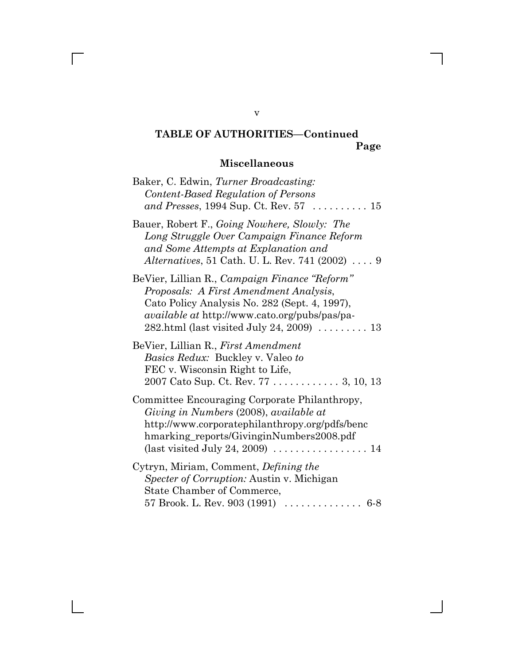# **Miscellaneous**

| Baker, C. Edwin, Turner Broadcasting:<br>Content-Based Regulation of Persons<br>and Presses, 1994 Sup. Ct. Rev. $57$ 15                                                                                                                                          |
|------------------------------------------------------------------------------------------------------------------------------------------------------------------------------------------------------------------------------------------------------------------|
| Bauer, Robert F., Going Nowhere, Slowly: The<br>Long Struggle Over Campaign Finance Reform<br>and Some Attempts at Explanation and<br><i>Alternatives</i> , 51 Cath. U. L. Rev. 741 $(2002)$ 9                                                                   |
| BeVier, Lillian R., Campaign Finance "Reform"<br>Proposals: A First Amendment Analysis,<br>Cato Policy Analysis No. 282 (Sept. 4, 1997),<br><i>available at http://www.cato.org/pubs/pas/pa-</i><br>282.html (last visited July 24, 2009) $\dots \dots \dots 13$ |
| BeVier, Lillian R., First Amendment<br><i>Basics Redux:</i> Buckley v. Valeo to<br>FEC v. Wisconsin Right to Life,                                                                                                                                               |
| Committee Encouraging Corporate Philanthropy,<br>Giving in Numbers (2008), available at<br>http://www.corporatephilanthropy.org/pdfs/benc<br>hmarking_reports/GivinginNumbers2008.pdf<br>(last visited July 24, 2009) $\dots \dots \dots \dots \dots \dots 14$   |
| Cytryn, Miriam, Comment, <i>Defining the</i><br><i>Specter of Corruption: Austin v. Michigan</i><br>State Chamber of Commerce,<br>57 Brook. L. Rev. 903 (1991) $\ldots \ldots \ldots \ldots \ldots$ 6-8                                                          |

v

 $\overline{\Gamma}$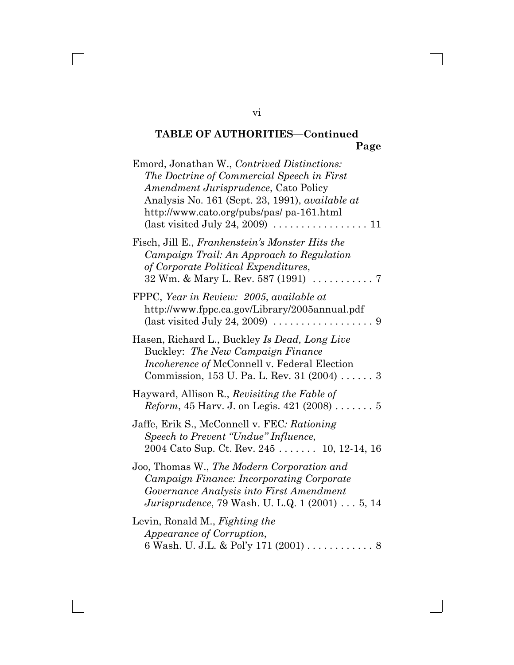| Emord, Jonathan W., Contrived Distinctions:<br>The Doctrine of Commercial Speech in First<br><i>Amendment Jurisprudence, Cato Policy</i><br>Analysis No. 161 (Sept. 23, 1991), <i>available at</i><br>http://www.cato.org/pubs/pas/ pa-161.html<br>(last visited July 24, 2009) $\dots \dots \dots \dots \dots \dots \dots 11$ |
|--------------------------------------------------------------------------------------------------------------------------------------------------------------------------------------------------------------------------------------------------------------------------------------------------------------------------------|
| Fisch, Jill E., Frankenstein's Monster Hits the<br>Campaign Trail: An Approach to Regulation<br>of Corporate Political Expenditures,                                                                                                                                                                                           |
| FPPC, Year in Review: 2005, available at<br>http://www.fppc.ca.gov/Library/2005annual.pdf<br>(last visited July 24, 2009) $\dots \dots \dots \dots \dots \dots$                                                                                                                                                                |
| Hasen, Richard L., Buckley Is Dead, Long Live<br>Buckley: The New Campaign Finance<br>Incoherence of McConnell v. Federal Election<br>Commission, 153 U. Pa. L. Rev. 31 $(2004)$ 3                                                                                                                                             |
| Hayward, Allison R., Revisiting the Fable of<br><i>Reform</i> , 45 Harv. J. on Legis. 421 (2008)  5                                                                                                                                                                                                                            |
| Jaffe, Erik S., McConnell v. FEC: Rationing<br>Speech to Prevent "Undue" Influence,<br>2004 Cato Sup. Ct. Rev. 245  10, 12-14, 16                                                                                                                                                                                              |
| Joo, Thomas W., The Modern Corporation and<br>Campaign Finance: Incorporating Corporate<br>Governance Analysis into First Amendment<br><i>Jurisprudence</i> , 79 Wash. U. L.Q. 1 (2001) 5, 14                                                                                                                                  |
| Levin, Ronald M., Fighting the<br>Appearance of Corruption,                                                                                                                                                                                                                                                                    |

vi

 $\overline{\Gamma}$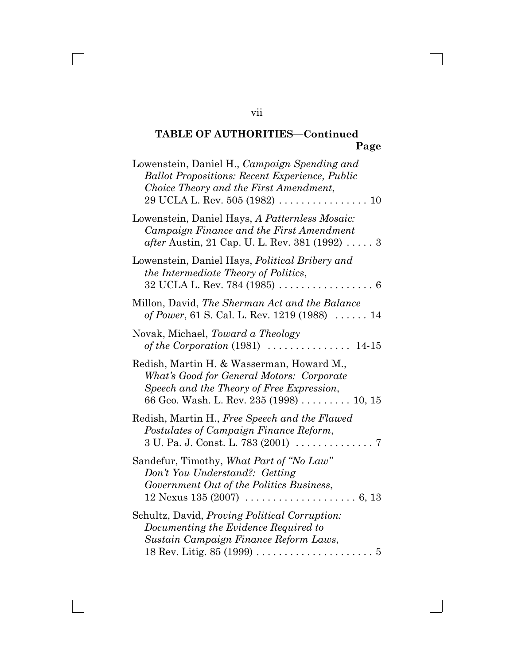| Lowenstein, Daniel H., Campaign Spending and<br><b>Ballot Propositions: Recent Experience, Public</b><br>Choice Theory and the First Amendment,<br>$29 \, \mathrm{UCLA \, L. \, Rev.} \, 505 \, (1982) \, \ldots \ldots \ldots \ldots \ldots \ldots \, 10$ |
|------------------------------------------------------------------------------------------------------------------------------------------------------------------------------------------------------------------------------------------------------------|
| Lowenstein, Daniel Hays, A Patternless Mosaic:<br>Campaign Finance and the First Amendment<br><i>after</i> Austin, 21 Cap. U. L. Rev. 381 (1992) $\ldots$ 3                                                                                                |
| Lowenstein, Daniel Hays, Political Bribery and<br>the Intermediate Theory of Politics,<br>$32$ UCLA L. Rev. 784 (1985) 6                                                                                                                                   |
| Millon, David, The Sherman Act and the Balance<br>of Power, 61 S. Cal. L. Rev. 1219 (1988) $\ldots$ . 14                                                                                                                                                   |
| Novak, Michael, Toward a Theology                                                                                                                                                                                                                          |
| Redish, Martin H. & Wasserman, Howard M.,<br>What's Good for General Motors: Corporate<br>Speech and the Theory of Free Expression,<br>66 Geo. Wash. L. Rev. 235 (1998) 10, 15                                                                             |
| Redish, Martin H., Free Speech and the Flawed<br>Postulates of Campaign Finance Reform,                                                                                                                                                                    |
| Sandefur, Timothy, What Part of "No Law"<br>Don't You Understand?: Getting<br>Government Out of the Politics Business,<br>12 Nexus 135 (2007) $\ldots \ldots \ldots \ldots \ldots \ldots \ldots 6, 13$                                                     |
| Schultz, David, Proving Political Corruption:<br>Documenting the Evidence Required to<br>Sustain Campaign Finance Reform Laws,                                                                                                                             |

vii

 $\overline{\Gamma}$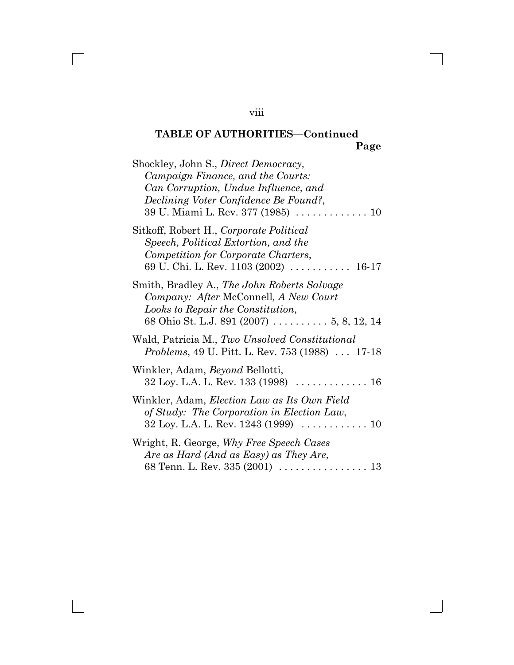| Shockley, John S., Direct Democracy,<br>Campaign Finance, and the Courts:<br>Can Corruption, Undue Influence, and<br>Declining Voter Confidence Be Found?,<br>39 U. Miami L. Rev. 377 (1985) 10 |
|-------------------------------------------------------------------------------------------------------------------------------------------------------------------------------------------------|
| Sitkoff, Robert H., Corporate Political<br>Speech, Political Extortion, and the<br>Competition for Corporate Charters,<br>69 U. Chi. L. Rev. 1103 (2002)  16-17                                 |
| Smith, Bradley A., The John Roberts Salvage<br>Company: After McConnell, A New Court<br>Looks to Repair the Constitution,<br>68 Ohio St. L.J. 891 (2007) 5, 8, 12, 14                           |
| Wald, Patricia M., Two Unsolved Constitutional<br><i>Problems</i> , 49 U. Pitt. L. Rev. 753 (1988) 17-18                                                                                        |
| Winkler, Adam, <i>Beyond</i> Bellotti,<br>$32$ Loy. L.A. L. Rev. $133$ (1998)  16                                                                                                               |
| Winkler, Adam, Election Law as Its Own Field<br>of Study: The Corporation in Election Law,                                                                                                      |
| Wright, R. George, Why Free Speech Cases<br>Are as Hard (And as Easy) as They Are,                                                                                                              |

### viii

 $\overline{\Gamma}$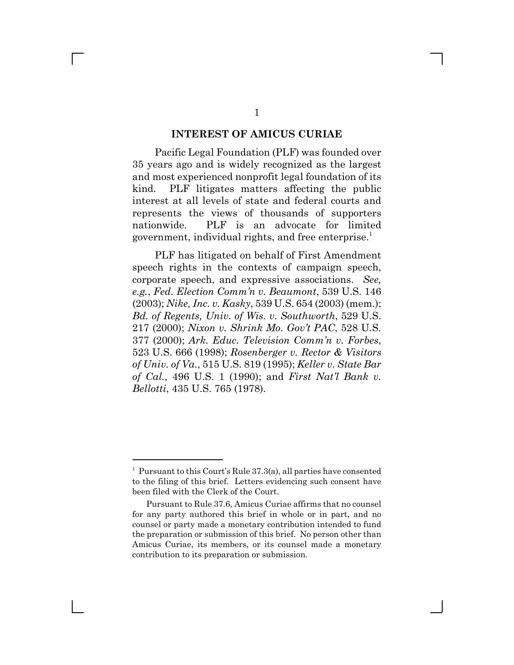#### **INTEREST OF AMICUS CURIAE**

Pacific Legal Foundation (PLF) was founded over 35 years ago and is widely recognized as the largest and most experienced nonprofit legal foundation of its kind. PLF litigates matters affecting the public interest at all levels of state and federal courts and represents the views of thousands of supporters nationwide. PLF is an advocate for limited government, individual rights, and free enterprise.<sup>1</sup>

PLF has litigated on behalf of First Amendment speech rights in the contexts of campaign speech, corporate speech, and expressive associations. *See, e.g.*, *Fed. Election Comm'n v. Beaumont*, 539 U.S. 146 (2003); *Nike, Inc. v. Kasky*, 539 U.S. 654 (2003) (mem.); *Bd. of Regents, Univ. of Wis. v. Southworth*, 529 U.S. 217 (2000); *Nixon v. Shrink Mo. Gov't PAC*, 528 U.S. 377 (2000); *Ark. Educ. Television Comm'n v. Forbes*, 523 U.S. 666 (1998); *Rosenberger v. Rector & Visitors of Univ. of Va.*, 515 U.S. 819 (1995); *Keller v. State Bar of Cal.*, 496 U.S. 1 (1990); and *First Nat'l Bank v. Bellotti*, 435 U.S. 765 (1978).

<sup>&</sup>lt;sup>1</sup> Pursuant to this Court's Rule 37.3(a), all parties have consented to the filing of this brief. Letters evidencing such consent have been filed with the Clerk of the Court.

Pursuant to Rule 37.6, Amicus Curiae affirms that no counsel for any party authored this brief in whole or in part, and no counsel or party made a monetary contribution intended to fund the preparation or submission of this brief. No person other than Amicus Curiae, its members, or its counsel made a monetary contribution to its preparation or submission.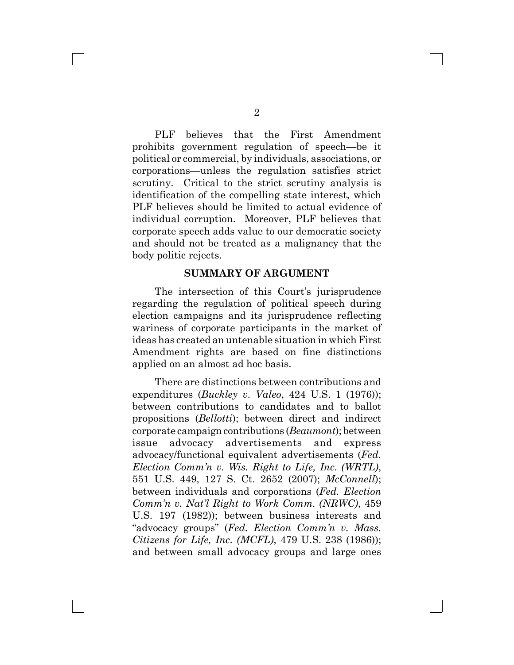PLF believes that the First Amendment prohibits government regulation of speech—be it political or commercial, by individuals, associations, or corporations—unless the regulation satisfies strict scrutiny. Critical to the strict scrutiny analysis is identification of the compelling state interest, which PLF believes should be limited to actual evidence of individual corruption. Moreover, PLF believes that corporate speech adds value to our democratic society and should not be treated as a malignancy that the body politic rejects.

### **SUMMARY OF ARGUMENT**

The intersection of this Court's jurisprudence regarding the regulation of political speech during election campaigns and its jurisprudence reflecting wariness of corporate participants in the market of ideas has created an untenable situation in which First Amendment rights are based on fine distinctions applied on an almost ad hoc basis.

There are distinctions between contributions and expenditures (*Buckley v. Valeo*, 424 U.S. 1 (1976)); between contributions to candidates and to ballot propositions (*Bellotti*); between direct and indirect corporate campaign contributions (*Beaumont*); between issue advocacy advertisements and express advocacy/functional equivalent advertisements (*Fed. Election Comm'n v. Wis. Right to Life, Inc. (WRTL)*, 551 U.S. 449, 127 S. Ct. 2652 (2007); *McConnell*); between individuals and corporations (*Fed. Election Comm'n v. Nat'l Right to Work Comm. (NRWC)*, 459 U.S. 197 (1982)); between business interests and "advocacy groups" (*Fed. Election Comm'n v. Mass. Citizens for Life, Inc. (MCFL)*, 479 U.S. 238 (1986)); and between small advocacy groups and large ones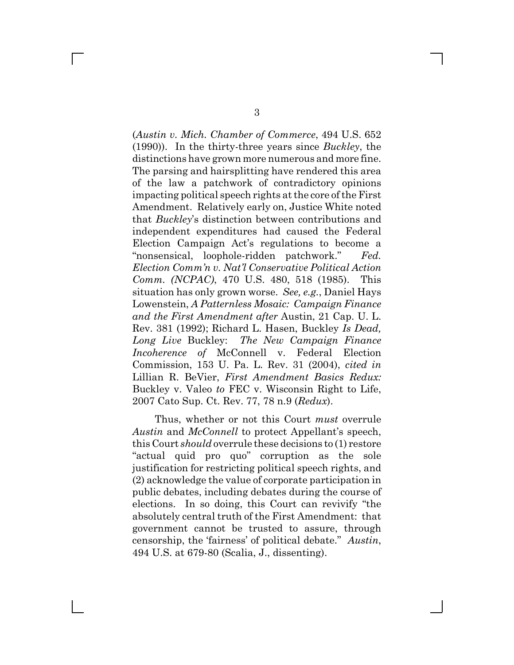(*Austin v. Mich. Chamber of Commerce*, 494 U.S. 652 (1990)). In the thirty-three years since *Buckley*, the distinctions have grown more numerous and more fine. The parsing and hairsplitting have rendered this area of the law a patchwork of contradictory opinions impacting political speech rights at the core of the First Amendment. Relatively early on, Justice White noted that *Buckley*'s distinction between contributions and independent expenditures had caused the Federal Election Campaign Act's regulations to become a "nonsensical, loophole-ridden patchwork." *Fed. Election Comm'n v. Nat'l Conservative Political Action Comm. (NCPAC)*, 470 U.S. 480, 518 (1985). This situation has only grown worse. *See, e.g.*, Daniel Hays Lowenstein, *A Patternless Mosaic: Campaign Finance and the First Amendment after* Austin, 21 Cap. U. L. Rev. 381 (1992); Richard L. Hasen, Buckley *Is Dead, Long Live* Buckley: *The New Campaign Finance Incoherence of McConnell v. Federal Election* Commission, 153 U. Pa. L. Rev. 31 (2004), *cited in* Lillian R. BeVier, *First Amendment Basics Redux:* Buckley v. Valeo *to* FEC v. Wisconsin Right to Life, 2007 Cato Sup. Ct. Rev. 77, 78 n.9 (*Redux*).

Thus, whether or not this Court *must* overrule *Austin* and *McConnell* to protect Appellant's speech, this Court *should* overrule these decisions to (1) restore "actual quid pro quo" corruption as the sole justification for restricting political speech rights, and (2) acknowledge the value of corporate participation in public debates, including debates during the course of elections. In so doing, this Court can revivify "the absolutely central truth of the First Amendment: that government cannot be trusted to assure, through censorship, the 'fairness' of political debate." *Austin*, 494 U.S. at 679-80 (Scalia, J., dissenting).

 $\mathbf{I}$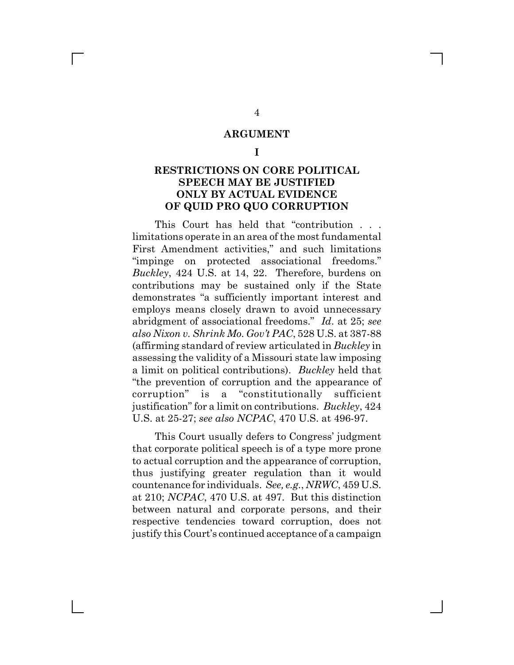### **ARGUMENT**

**I**

### **RESTRICTIONS ON CORE POLITICAL SPEECH MAY BE JUSTIFIED ONLY BY ACTUAL EVIDENCE OF QUID PRO QUO CORRUPTION**

This Court has held that "contribution . . . limitations operate in an area of the most fundamental First Amendment activities," and such limitations "impinge on protected associational freedoms." *Buckley*, 424 U.S. at 14, 22. Therefore, burdens on contributions may be sustained only if the State demonstrates "a sufficiently important interest and employs means closely drawn to avoid unnecessary abridgment of associational freedoms." *Id*. at 25; *see also Nixon v. Shrink Mo. Gov't PAC*, 528 U.S. at 387-88 (affirming standard of review articulated in *Buckley* in assessing the validity of a Missouri state law imposing a limit on political contributions). *Buckley* held that "the prevention of corruption and the appearance of corruption" is a "constitutionally sufficient justification" for a limit on contributions. *Buckley*, 424 U.S. at 25-27; *see also NCPAC*, 470 U.S. at 496-97.

This Court usually defers to Congress' judgment that corporate political speech is of a type more prone to actual corruption and the appearance of corruption, thus justifying greater regulation than it would countenance for individuals. *See, e.g.*, *NRWC*, 459 U.S. at 210; *NCPAC*, 470 U.S. at 497. But this distinction between natural and corporate persons, and their respective tendencies toward corruption, does not justify this Court's continued acceptance of a campaign

4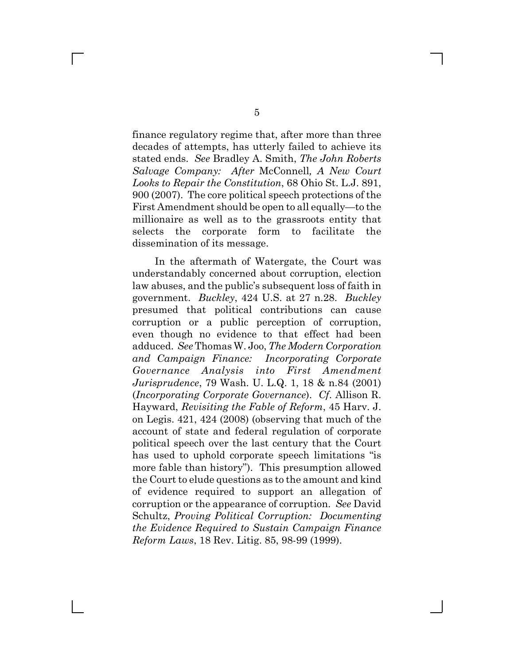finance regulatory regime that, after more than three decades of attempts, has utterly failed to achieve its stated ends. *See* Bradley A. Smith, *The John Roberts Salvage Company: After* McConnell*, A New Court Looks to Repair the Constitution*, 68 Ohio St. L.J. 891, 900 (2007). The core political speech protections of the First Amendment should be open to all equally—to the millionaire as well as to the grassroots entity that selects the corporate form to facilitate the dissemination of its message.

In the aftermath of Watergate, the Court was understandably concerned about corruption, election law abuses, and the public's subsequent loss of faith in government. *Buckley*, 424 U.S. at 27 n.28. *Buckley* presumed that political contributions can cause corruption or a public perception of corruption, even though no evidence to that effect had been adduced. *See* Thomas W. Joo, *The Modern Corporation and Campaign Finance: Incorporating Corporate Governance Analysis into First Amendment Jurisprudence*, 79 Wash. U. L.Q. 1, 18 & n.84 (2001) (*Incorporating Corporate Governance*). *Cf*. Allison R. Hayward, *Revisiting the Fable of Reform*, 45 Harv. J. on Legis. 421, 424 (2008) (observing that much of the account of state and federal regulation of corporate political speech over the last century that the Court has used to uphold corporate speech limitations "is more fable than history"). This presumption allowed the Court to elude questions as to the amount and kind of evidence required to support an allegation of corruption or the appearance of corruption. *See* David Schultz, *Proving Political Corruption: Documenting the Evidence Required to Sustain Campaign Finance Reform Laws*, 18 Rev. Litig. 85, 98-99 (1999).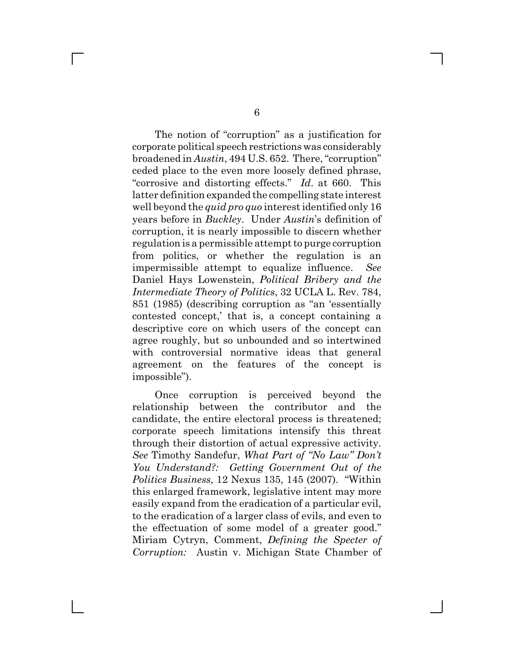The notion of "corruption" as a justification for corporate political speech restrictions was considerably broadened in *Austin*, 494 U.S. 652. There, "corruption" ceded place to the even more loosely defined phrase, "corrosive and distorting effects." *Id*. at 660. This latter definition expanded the compelling state interest well beyond the *quid pro quo* interest identified only 16 years before in *Buckley*. Under *Austin*'s definition of corruption, it is nearly impossible to discern whether regulation is a permissible attempt to purge corruption from politics, or whether the regulation is an impermissible attempt to equalize influence. *See* Daniel Hays Lowenstein, *Political Bribery and the Intermediate Theory of Politics*, 32 UCLA L. Rev. 784, 851 (1985) (describing corruption as "an 'essentially contested concept,' that is, a concept containing a descriptive core on which users of the concept can agree roughly, but so unbounded and so intertwined with controversial normative ideas that general agreement on the features of the concept is impossible").

Once corruption is perceived beyond the relationship between the contributor and the candidate, the entire electoral process is threatened; corporate speech limitations intensify this threat through their distortion of actual expressive activity. *See* Timothy Sandefur, *What Part of "No Law" Don't You Understand?: Getting Government Out of the Politics Business*, 12 Nexus 135, 145 (2007). "Within this enlarged framework, legislative intent may more easily expand from the eradication of a particular evil, to the eradication of a larger class of evils, and even to the effectuation of some model of a greater good." Miriam Cytryn, Comment, *Defining the Specter of Corruption:* Austin v. Michigan State Chamber of

 $\Box$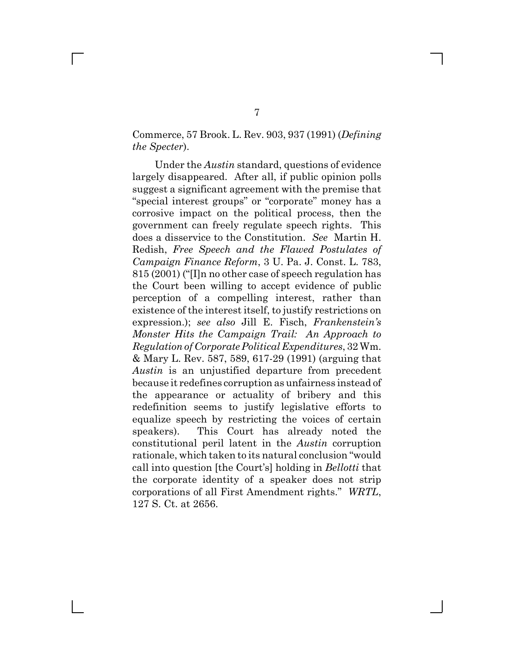### Commerce, 57 Brook. L. Rev. 903, 937 (1991) (*Defining the Specter*).

Under the *Austin* standard, questions of evidence largely disappeared. After all, if public opinion polls suggest a significant agreement with the premise that "special interest groups" or "corporate" money has a corrosive impact on the political process, then the government can freely regulate speech rights. This does a disservice to the Constitution. *See* Martin H. Redish, *Free Speech and the Flawed Postulates of Campaign Finance Reform*, 3 U. Pa. J. Const. L. 783, 815 (2001) ("[I]n no other case of speech regulation has the Court been willing to accept evidence of public perception of a compelling interest, rather than existence of the interest itself, to justify restrictions on expression.); *see also* Jill E. Fisch, *Frankenstein's Monster Hits the Campaign Trail: An Approach to Regulation of Corporate Political Expenditures*, 32 Wm. & Mary L. Rev. 587, 589, 617-29 (1991) (arguing that *Austin* is an unjustified departure from precedent because it redefines corruption as unfairness instead of the appearance or actuality of bribery and this redefinition seems to justify legislative efforts to equalize speech by restricting the voices of certain speakers). This Court has already noted the constitutional peril latent in the *Austin* corruption rationale, which taken to its natural conclusion "would call into question [the Court's] holding in *Bellotti* that the corporate identity of a speaker does not strip corporations of all First Amendment rights." *WRTL*, 127 S. Ct. at 2656.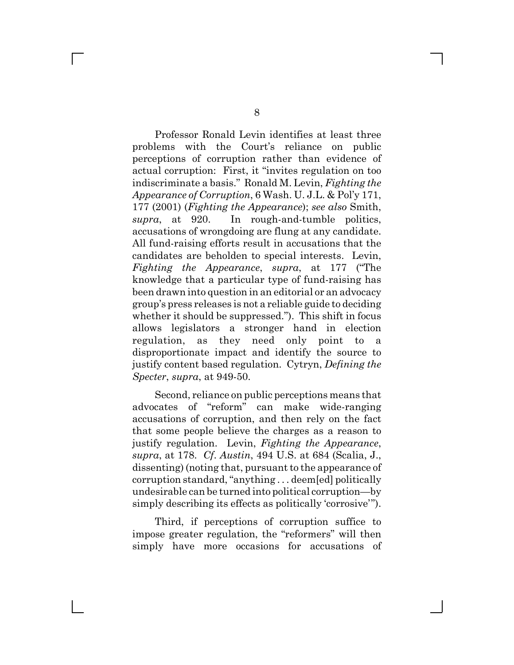Professor Ronald Levin identifies at least three problems with the Court's reliance on public perceptions of corruption rather than evidence of actual corruption: First, it "invites regulation on too indiscriminate a basis." Ronald M. Levin, *Fighting the Appearance of Corruption*, 6 Wash. U. J.L. & Pol'y 171, 177 (2001) (*Fighting the Appearance*); *see also* Smith, *supra*, at 920. In rough-and-tumble politics, accusations of wrongdoing are flung at any candidate. All fund-raising efforts result in accusations that the candidates are beholden to special interests. Levin, *Fighting the Appearance*, *supra*, at 177 ("The knowledge that a particular type of fund-raising has been drawn into question in an editorial or an advocacy group's press releases is not a reliable guide to deciding whether it should be suppressed."). This shift in focus allows legislators a stronger hand in election regulation, as they need only point to a disproportionate impact and identify the source to justify content based regulation. Cytryn, *Defining the Specter*, *supra*, at 949-50.

Second, reliance on public perceptions means that advocates of "reform" can make wide-ranging accusations of corruption, and then rely on the fact that some people believe the charges as a reason to justify regulation. Levin, *Fighting the Appearance*, *supra*, at 178. *Cf*. *Austin*, 494 U.S. at 684 (Scalia, J., dissenting) (noting that, pursuant to the appearance of corruption standard, "anything . . . deem[ed] politically undesirable can be turned into political corruption—by simply describing its effects as politically 'corrosive'").

Third, if perceptions of corruption suffice to impose greater regulation, the "reformers" will then simply have more occasions for accusations of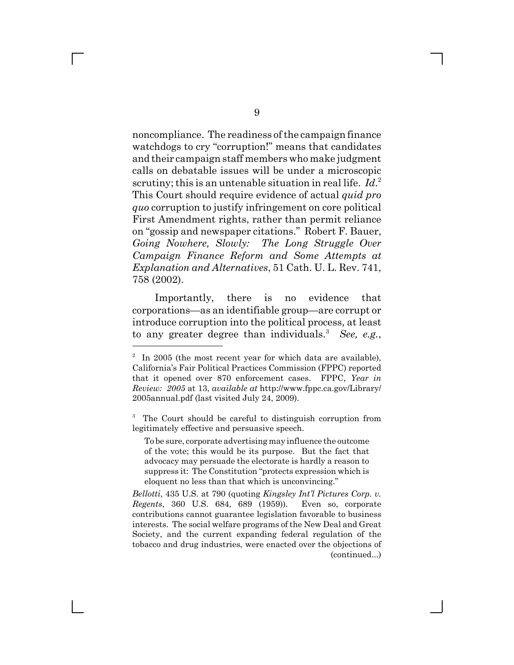noncompliance. The readiness of the campaign finance watchdogs to cry "corruption!" means that candidates and their campaign staff members who make judgment calls on debatable issues will be under a microscopic scrutiny; this is an untenable situation in real life. *Id*. 2 This Court should require evidence of actual *quid pro quo* corruption to justify infringement on core political First Amendment rights, rather than permit reliance on "gossip and newspaper citations." Robert F. Bauer, *Going Nowhere, Slowly: The Long Struggle Over Campaign Finance Reform and Some Attempts at Explanation and Alternatives*, 51 Cath. U. L. Rev. 741, 758 (2002).

Importantly, there is no evidence that corporations—as an identifiable group—are corrupt or introduce corruption into the political process, at least to any greater degree than individuals.<sup>3</sup> See, e.g.,

3 The Court should be careful to distinguish corruption from legitimately effective and persuasive speech.

To be sure, corporate advertising may influence the outcome of the vote; this would be its purpose. But the fact that advocacy may persuade the electorate is hardly a reason to suppress it: The Constitution "protects expression which is eloquent no less than that which is unconvincing."

*Bellotti*, 435 U.S. at 790 (quoting *Kingsley Int'l Pictures Corp. v. Regents*, 360 U.S. 684, 689 (1959)). Even so, corporate contributions cannot guarantee legislation favorable to business interests. The social welfare programs of the New Deal and Great Society, and the current expanding federal regulation of the tobacco and drug industries, were enacted over the objections of (continued...)

 $2^2$  In 2005 (the most recent year for which data are available), California's Fair Political Practices Commission (FPPC) reported that it opened over 870 enforcement cases. FPPC, *Year in Review: 2005* at 13, *available at* http://www.fppc.ca.gov/Library/ 2005annual.pdf (last visited July 24, 2009).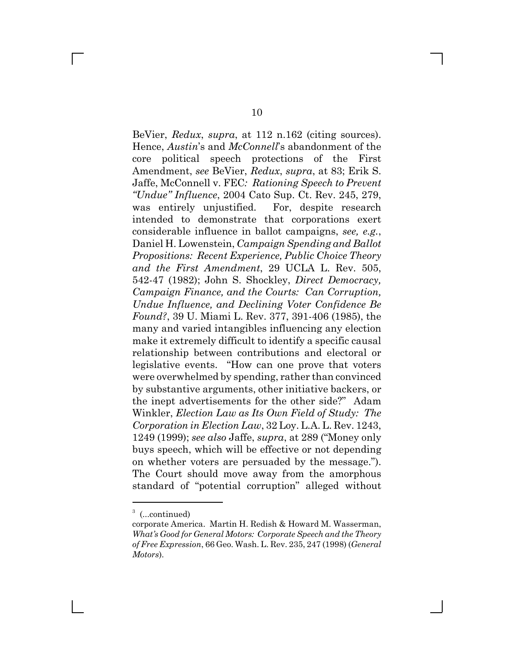BeVier, *Redux*, *supra*, at 112 n.162 (citing sources). Hence, *Austin*'s and *McConnell*'s abandonment of the core political speech protections of the First Amendment, *see* BeVier, *Redux*, *supra*, at 83; Erik S. Jaffe, McConnell v. FEC*: Rationing Speech to Prevent "Undue" Influence*, 2004 Cato Sup. Ct. Rev. 245, 279, was entirely unjustified. For, despite research intended to demonstrate that corporations exert considerable influence in ballot campaigns, *see, e.g.*, Daniel H. Lowenstein, *Campaign Spending and Ballot Propositions: Recent Experience, Public Choice Theory and the First Amendment*, 29 UCLA L. Rev. 505, 542-47 (1982); John S. Shockley, *Direct Democracy, Campaign Finance, and the Courts: Can Corruption, Undue Influence, and Declining Voter Confidence Be Found?*, 39 U. Miami L. Rev. 377, 391-406 (1985), the many and varied intangibles influencing any election make it extremely difficult to identify a specific causal relationship between contributions and electoral or legislative events. "How can one prove that voters were overwhelmed by spending, rather than convinced by substantive arguments, other initiative backers, or the inept advertisements for the other side?" Adam Winkler, *Election Law as Its Own Field of Study: The Corporation in Election Law*, 32 Loy. L.A. L. Rev. 1243, 1249 (1999); *see also* Jaffe, *supra*, at 289 ("Money only buys speech, which will be effective or not depending on whether voters are persuaded by the message."). The Court should move away from the amorphous standard of "potential corruption" alleged without

<sup>&</sup>lt;sup>3</sup> (...continued)

corporate America. Martin H. Redish & Howard M. Wasserman, *What's Good for General Motors: Corporate Speech and the Theory of Free Expression*, 66 Geo. Wash. L. Rev. 235, 247 (1998) (*General Motors*).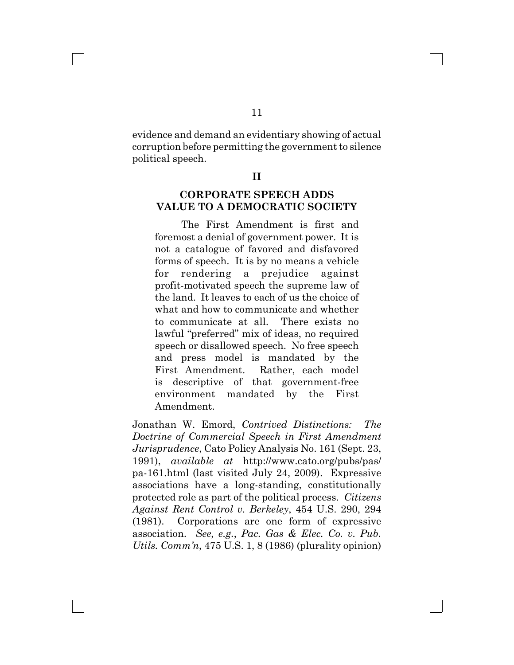evidence and demand an evidentiary showing of actual corruption before permitting the government to silence political speech.

#### **II**

### **CORPORATE SPEECH ADDS VALUE TO A DEMOCRATIC SOCIETY**

The First Amendment is first and foremost a denial of government power. It is not a catalogue of favored and disfavored forms of speech. It is by no means a vehicle for rendering a prejudice against profit-motivated speech the supreme law of the land. It leaves to each of us the choice of what and how to communicate and whether to communicate at all. There exists no lawful "preferred" mix of ideas, no required speech or disallowed speech. No free speech and press model is mandated by the First Amendment. Rather, each model is descriptive of that government-free environment mandated by the First Amendment.

Jonathan W. Emord, *Contrived Distinctions: The Doctrine of Commercial Speech in First Amendment Jurisprudence*, Cato Policy Analysis No. 161 (Sept. 23, 1991), *available at* http://www.cato.org/pubs/pas/ pa-161.html (last visited July 24, 2009). Expressive associations have a long-standing, constitutionally protected role as part of the political process. *Citizens Against Rent Control v. Berkeley*, 454 U.S. 290, 294 (1981). Corporations are one form of expressive association. *See, e.g.*, *Pac. Gas & Elec. Co. v. Pub. Utils. Comm'n*, 475 U.S. 1, 8 (1986) (plurality opinion)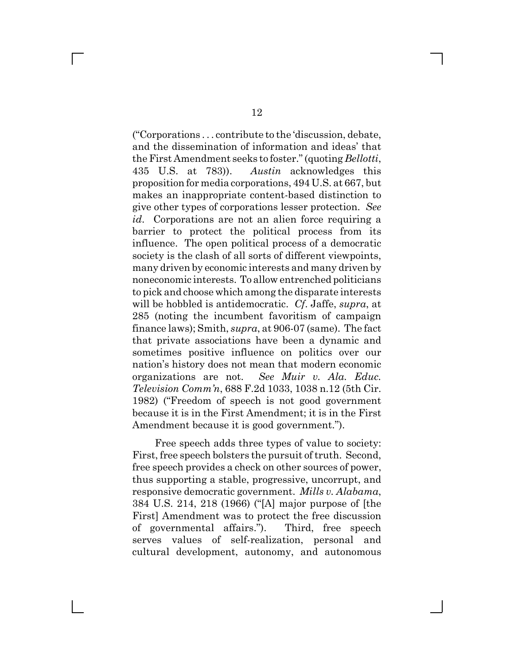("Corporations . . . contribute to the 'discussion, debate, and the dissemination of information and ideas' that the First Amendment seeks to foster." (quoting *Bellotti*, 435 U.S. at 783)). *Austin* acknowledges this proposition for media corporations, 494 U.S. at 667, but makes an inappropriate content-based distinction to give other types of corporations lesser protection. *See id.* Corporations are not an alien force requiring a barrier to protect the political process from its influence. The open political process of a democratic society is the clash of all sorts of different viewpoints, many driven by economic interests and many driven by noneconomic interests. To allow entrenched politicians to pick and choose which among the disparate interests will be hobbled is antidemocratic. *Cf*. Jaffe, *supra*, at 285 (noting the incumbent favoritism of campaign finance laws); Smith, *supra*, at 906-07 (same). The fact that private associations have been a dynamic and sometimes positive influence on politics over our nation's history does not mean that modern economic organizations are not. *See Muir v. Ala. Educ. Television Comm'n*, 688 F.2d 1033, 1038 n.12 (5th Cir. 1982) ("Freedom of speech is not good government because it is in the First Amendment; it is in the First Amendment because it is good government.").

Free speech adds three types of value to society: First, free speech bolsters the pursuit of truth. Second, free speech provides a check on other sources of power, thus supporting a stable, progressive, uncorrupt, and responsive democratic government. *Mills v. Alabama*, 384 U.S. 214, 218 (1966) ("[A] major purpose of [the First] Amendment was to protect the free discussion of governmental affairs."). Third, free speech serves values of self-realization, personal and cultural development, autonomy, and autonomous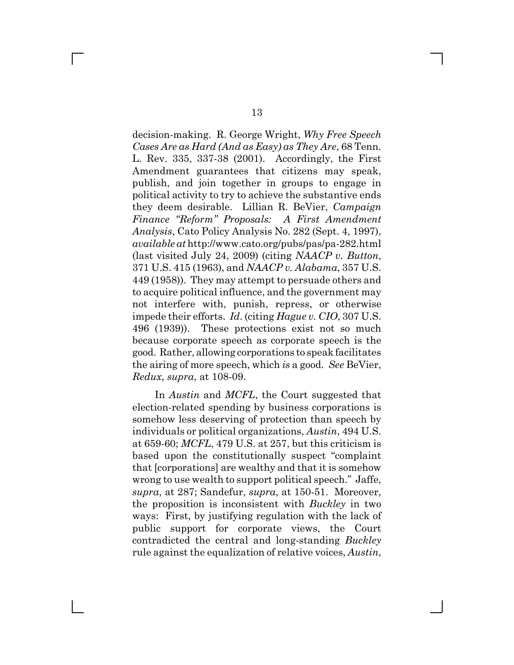decision-making. R. George Wright, *Why Free Speech Cases Are as Hard (And as Easy) as They Are*, 68 Tenn. L. Rev. 335, 337-38 (2001). Accordingly, the First Amendment guarantees that citizens may speak, publish, and join together in groups to engage in political activity to try to achieve the substantive ends they deem desirable. Lillian R. BeVier, *Campaign Finance "Reform" Proposals: A First Amendment Analysis*, Cato Policy Analysis No. 282 (Sept. 4, 1997), *available at* http://www.cato.org/pubs/pas/pa-282.html (last visited July 24, 2009) (citing *NAACP v. Button*, 371 U.S. 415 (1963), and *NAACP v. Alabama*, 357 U.S. 449 (1958)). They may attempt to persuade others and to acquire political influence, and the government may not interfere with, punish, repress, or otherwise impede their efforts. *Id*. (citing *Hague v. CIO*, 307 U.S. 496 (1939)). These protections exist not so much because corporate speech as corporate speech is the good. Rather, allowing corporations to speak facilitates the airing of more speech, which *is* a good. *See* BeVier, *Redux*, *supra*, at 108-09.

In *Austin* and *MCFL*, the Court suggested that election-related spending by business corporations is somehow less deserving of protection than speech by individuals or political organizations, *Austin*, 494 U.S. at 659-60; *MCFL*, 479 U.S. at 257, but this criticism is based upon the constitutionally suspect "complaint that [corporations] are wealthy and that it is somehow wrong to use wealth to support political speech." Jaffe, *supra*, at 287; Sandefur, *supra*, at 150-51. Moreover, the proposition is inconsistent with *Buckley* in two ways: First, by justifying regulation with the lack of public support for corporate views, the Court contradicted the central and long-standing *Buckley* rule against the equalization of relative voices, *Austin*,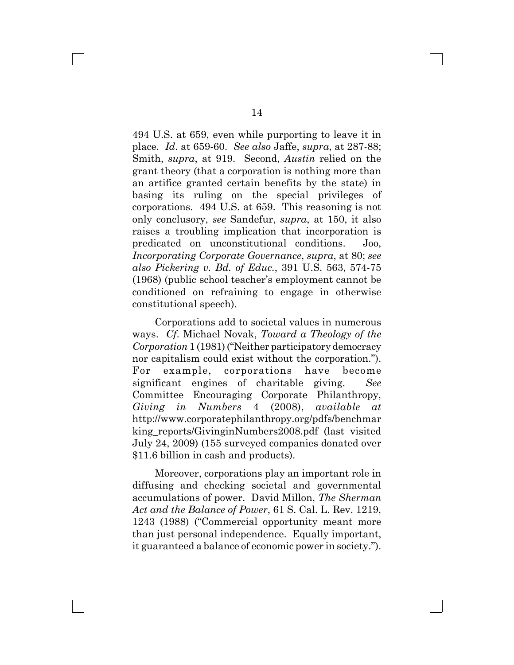494 U.S. at 659, even while purporting to leave it in place. *Id*. at 659-60. *See also* Jaffe, *supra*, at 287-88; Smith, *supra*, at 919. Second, *Austin* relied on the grant theory (that a corporation is nothing more than an artifice granted certain benefits by the state) in basing its ruling on the special privileges of corporations. 494 U.S. at 659. This reasoning is not only conclusory, *see* Sandefur, *supra*, at 150, it also raises a troubling implication that incorporation is predicated on unconstitutional conditions. Joo, *Incorporating Corporate Governance*, *supra*, at 80; *see also Pickering v. Bd. of Educ.*, 391 U.S. 563, 574-75 (1968) (public school teacher's employment cannot be conditioned on refraining to engage in otherwise constitutional speech).

Corporations add to societal values in numerous ways. *Cf*. Michael Novak, *Toward a Theology of the Corporation* 1 (1981) ("Neither participatory democracy nor capitalism could exist without the corporation."). For example, corporations have become significant engines of charitable giving. *See* Committee Encouraging Corporate Philanthropy, *Giving in Numbers* 4 (2008), *available at* http://www.corporatephilanthropy.org/pdfs/benchmar king reports/GivinginNumbers2008.pdf (last visited July 24, 2009) (155 surveyed companies donated over \$11.6 billion in cash and products).

Moreover, corporations play an important role in diffusing and checking societal and governmental accumulations of power. David Millon, *The Sherman Act and the Balance of Power*, 61 S. Cal. L. Rev. 1219, 1243 (1988) ("Commercial opportunity meant more than just personal independence. Equally important, it guaranteed a balance of economic power in society.").

 $\Box$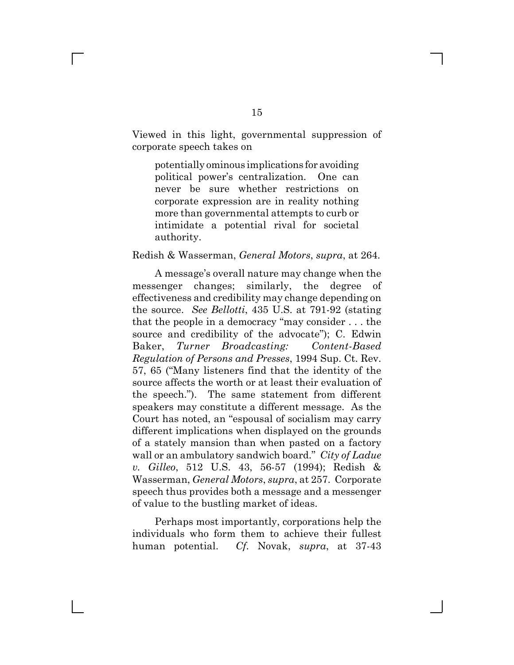Viewed in this light, governmental suppression of corporate speech takes on

potentially ominous implications for avoiding political power's centralization. One can never be sure whether restrictions on corporate expression are in reality nothing more than governmental attempts to curb or intimidate a potential rival for societal authority.

#### Redish & Wasserman, *General Motors*, *supra*, at 264.

A message's overall nature may change when the messenger changes; similarly, the degree of effectiveness and credibility may change depending on the source. *See Bellotti*, 435 U.S. at 791-92 (stating that the people in a democracy "may consider . . . the source and credibility of the advocate"); C. Edwin Baker, *Turner Broadcasting: Content-Based Regulation of Persons and Presses*, 1994 Sup. Ct. Rev. 57, 65 ("Many listeners find that the identity of the source affects the worth or at least their evaluation of the speech."). The same statement from different speakers may constitute a different message. As the Court has noted, an "espousal of socialism may carry different implications when displayed on the grounds of a stately mansion than when pasted on a factory wall or an ambulatory sandwich board." *City of Ladue v. Gilleo*, 512 U.S. 43, 56-57 (1994); Redish & Wasserman, *General Motors*, *supra*, at 257. Corporate speech thus provides both a message and a messenger of value to the bustling market of ideas.

Perhaps most importantly, corporations help the individuals who form them to achieve their fullest human potential. *Cf*. Novak, *supra*, at 37-43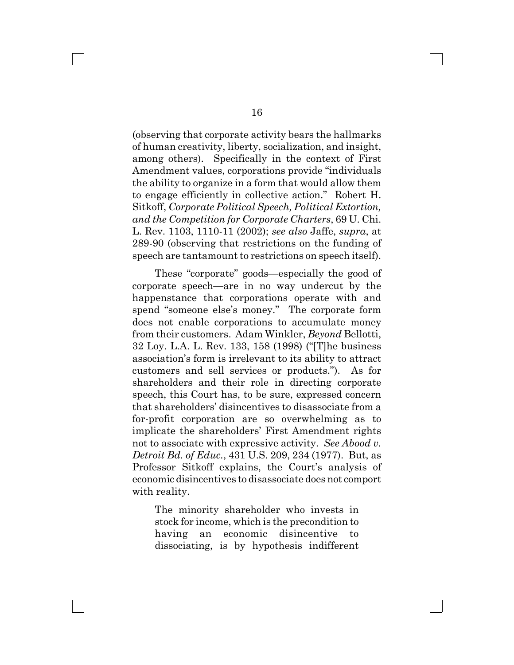(observing that corporate activity bears the hallmarks of human creativity, liberty, socialization, and insight, among others). Specifically in the context of First Amendment values, corporations provide "individuals the ability to organize in a form that would allow them to engage efficiently in collective action." Robert H. Sitkoff, *Corporate Political Speech, Political Extortion, and the Competition for Corporate Charters*, 69 U. Chi. L. Rev. 1103, 1110-11 (2002); *see also* Jaffe, *supra*, at 289-90 (observing that restrictions on the funding of speech are tantamount to restrictions on speech itself).

These "corporate" goods—especially the good of corporate speech—are in no way undercut by the happenstance that corporations operate with and spend "someone else's money." The corporate form does not enable corporations to accumulate money from their customers. Adam Winkler, *Beyond* Bellotti, 32 Loy. L.A. L. Rev. 133, 158 (1998) ("[T]he business association's form is irrelevant to its ability to attract customers and sell services or products."). As for shareholders and their role in directing corporate speech, this Court has, to be sure, expressed concern that shareholders' disincentives to disassociate from a for-profit corporation are so overwhelming as to implicate the shareholders' First Amendment rights not to associate with expressive activity. *See Abood v. Detroit Bd. of Educ.*, 431 U.S. 209, 234 (1977). But, as Professor Sitkoff explains, the Court's analysis of economic disincentives to disassociate does not comport with reality.

The minority shareholder who invests in stock for income, which is the precondition to having an economic disincentive to dissociating, is by hypothesis indifferent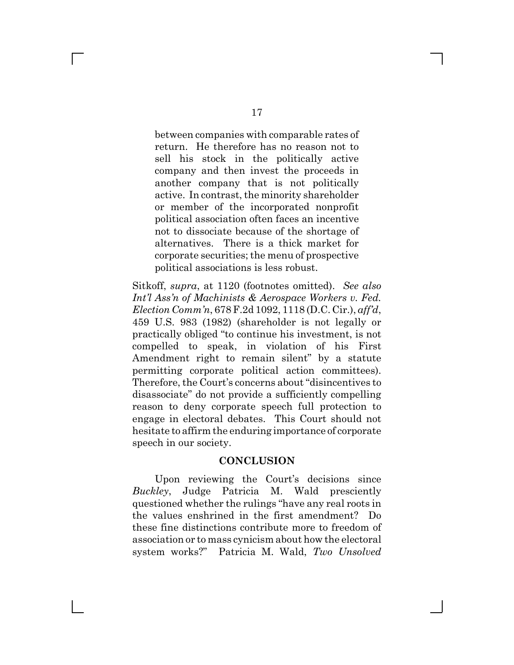between companies with comparable rates of return. He therefore has no reason not to sell his stock in the politically active company and then invest the proceeds in another company that is not politically active. In contrast, the minority shareholder or member of the incorporated nonprofit political association often faces an incentive not to dissociate because of the shortage of alternatives. There is a thick market for corporate securities; the menu of prospective political associations is less robust.

Sitkoff, *supra*, at 1120 (footnotes omitted). *See also Int'l Ass'n of Machinists & Aerospace Workers v. Fed. Election Comm'n*, 678 F.2d 1092, 1118 (D.C. Cir.), *aff'd*, 459 U.S. 983 (1982) (shareholder is not legally or practically obliged "to continue his investment, is not compelled to speak, in violation of his First Amendment right to remain silent" by a statute permitting corporate political action committees). Therefore, the Court's concerns about "disincentives to disassociate" do not provide a sufficiently compelling reason to deny corporate speech full protection to engage in electoral debates. This Court should not hesitate to affirm the enduring importance of corporate speech in our society.

### **CONCLUSION**

Upon reviewing the Court's decisions since *Buckley*, Judge Patricia M. Wald presciently questioned whether the rulings "have any real roots in the values enshrined in the first amendment? Do these fine distinctions contribute more to freedom of association or to mass cynicism about how the electoral system works?" Patricia M. Wald, *Two Unsolved*